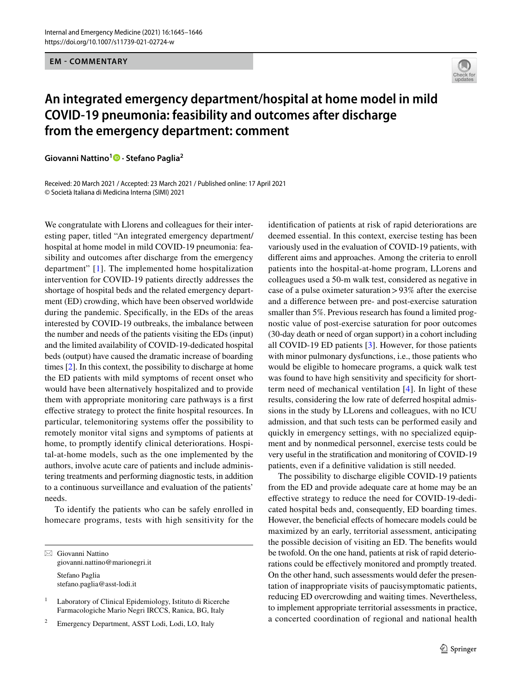**EM - COMMENTARY**



## **An integrated emergency department/hospital at home model in mild COVID‑19 pneumonia: feasibility and outcomes after discharge from the emergency department: comment**

**Giovanni Nattino<sup>1</sup> · Stefano Paglia2**

Received: 20 March 2021 / Accepted: 23 March 2021 / Published online: 17 April 2021 © Società Italiana di Medicina Interna (SIMI) 2021

We congratulate with Llorens and colleagues for their interesting paper, titled "An integrated emergency department/ hospital at home model in mild COVID-19 pneumonia: feasibility and outcomes after discharge from the emergency department" [[1\]](#page-1-0). The implemented home hospitalization intervention for COVID-19 patients directly addresses the shortage of hospital beds and the related emergency department (ED) crowding, which have been observed worldwide during the pandemic. Specifcally, in the EDs of the areas interested by COVID-19 outbreaks, the imbalance between the number and needs of the patients visiting the EDs (input) and the limited availability of COVID-19-dedicated hospital beds (output) have caused the dramatic increase of boarding times [[2\]](#page-1-1). In this context, the possibility to discharge at home the ED patients with mild symptoms of recent onset who would have been alternatively hospitalized and to provide them with appropriate monitoring care pathways is a frst efective strategy to protect the fnite hospital resources. In particular, telemonitoring systems offer the possibility to remotely monitor vital signs and symptoms of patients at home, to promptly identify clinical deteriorations. Hospital-at-home models, such as the one implemented by the authors, involve acute care of patients and include administering treatments and performing diagnostic tests, in addition to a continuous surveillance and evaluation of the patients' needs.

To identify the patients who can be safely enrolled in homecare programs, tests with high sensitivity for the

 $\boxtimes$  Giovanni Nattino giovanni.nattino@marionegri.it Stefano Paglia stefano.paglia@asst-lodi.it

<sup>2</sup> Emergency Department, ASST Lodi, Lodi, LO, Italy

identifcation of patients at risk of rapid deteriorations are deemed essential. In this context, exercise testing has been variously used in the evaluation of COVID-19 patients, with diferent aims and approaches. Among the criteria to enroll patients into the hospital-at-home program, LLorens and colleagues used a 50-m walk test, considered as negative in case of a pulse oximeter saturation>93% after the exercise and a diference between pre- and post-exercise saturation smaller than 5%. Previous research has found a limited prognostic value of post-exercise saturation for poor outcomes (30-day death or need of organ support) in a cohort including all COVID-19 ED patients [[3](#page-1-2)]. However, for those patients with minor pulmonary dysfunctions, *i.e.*, those patients who would be eligible to homecare programs, a quick walk test was found to have high sensitivity and specificity for shortterm need of mechanical ventilation [[4](#page-1-3)]. In light of these results, considering the low rate of deferred hospital admissions in the study by LLorens and colleagues, with no ICU admission, and that such tests can be performed easily and quickly in emergency settings, with no specialized equipment and by nonmedical personnel, exercise tests could be very useful in the stratifcation and monitoring of COVID-19 patients, even if a defnitive validation is still needed.

The possibility to discharge eligible COVID-19 patients from the ED and provide adequate care at home may be an efective strategy to reduce the need for COVID-19-dedicated hospital beds and, consequently, ED boarding times. However, the beneficial effects of homecare models could be maximized by an early, territorial assessment, anticipating the possible decision of visiting an ED. The benefts would be twofold. On the one hand, patients at risk of rapid deteriorations could be efectively monitored and promptly treated. On the other hand, such assessments would defer the presentation of inappropriate visits of paucisymptomatic patients, reducing ED overcrowding and waiting times. Nevertheless, to implement appropriate territorial assessments in practice, a concerted coordination of regional and national health

<sup>&</sup>lt;sup>1</sup> Laboratory of Clinical Epidemiology, Istituto di Ricerche Farmacologiche Mario Negri IRCCS, Ranica, BG, Italy